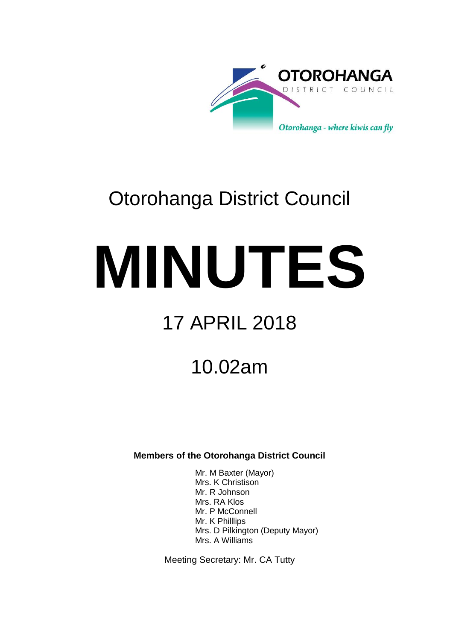

# Otorohanga District Council

# **MINUTES**

# 17 APRIL 2018

## 10.02am

**Members of the Otorohanga District Council**

Mr. M Baxter (Mayor) Mrs. K Christison Mr. R Johnson Mrs. RA Klos Mr. P McConnell Mr. K Philllips Mrs. D Pilkington (Deputy Mayor) Mrs. A Williams

Meeting Secretary: Mr. CA Tutty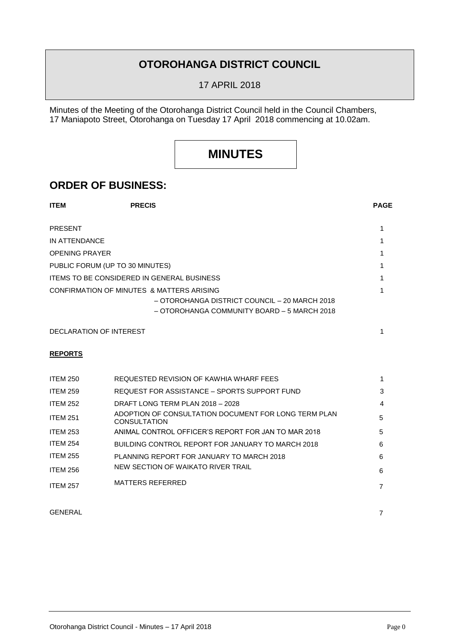## **OTOROHANGA DISTRICT COUNCIL**

17 APRIL 2018

Minutes of the Meeting of the Otorohanga District Council held in the Council Chambers, 17 Maniapoto Street, Otorohanga on Tuesday 17 April 2018 commencing at 10.02am.

## **MINUTES**

### **ORDER OF BUSINESS:**

| <b>ITEM</b>                     | <b>PRECIS</b>                                                                                                                             | <b>PAGE</b> |
|---------------------------------|-------------------------------------------------------------------------------------------------------------------------------------------|-------------|
| <b>PRESENT</b>                  |                                                                                                                                           |             |
| IN ATTENDANCE                   |                                                                                                                                           |             |
| <b>OPENING PRAYER</b>           |                                                                                                                                           |             |
| PUBLIC FORUM (UP TO 30 MINUTES) |                                                                                                                                           |             |
|                                 | <b>ITEMS TO BE CONSIDERED IN GENERAL BUSINESS</b>                                                                                         |             |
|                                 | CONFIRMATION OF MINUTES & MATTERS ARISING<br>- OTOROHANGA DISTRICT COUNCIL - 20 MARCH 2018<br>- OTOROHANGA COMMUNITY BOARD - 5 MARCH 2018 |             |

DECLARATION OF INTEREST

#### **REPORTS**

| <b>ITEM 250</b> | REQUESTED REVISION OF KAWHIA WHARF FEES                                     | 1. |
|-----------------|-----------------------------------------------------------------------------|----|
| <b>ITEM 259</b> | REQUEST FOR ASSISTANCE - SPORTS SUPPORT FUND                                | 3  |
| <b>ITEM 252</b> | DRAFT LONG TERM PLAN 2018 - 2028                                            | 4  |
| <b>ITEM 251</b> | ADOPTION OF CONSULTATION DOCUMENT FOR LONG TERM PLAN<br><b>CONSULTATION</b> | 5  |
| <b>ITEM 253</b> | ANIMAL CONTROL OFFICER'S REPORT FOR JAN TO MAR 2018                         | 5  |
| <b>ITEM 254</b> | BUILDING CONTROL REPORT FOR JANUARY TO MARCH 2018                           | 6  |
| <b>ITEM 255</b> | PLANNING REPORT FOR JANUARY TO MARCH 2018                                   | 6  |
| <b>ITEM 256</b> | NEW SECTION OF WAIKATO RIVER TRAIL                                          | 6  |
| <b>ITEM 257</b> | MATTERS REFERRED                                                            | 7  |

#### GENERAL 7

1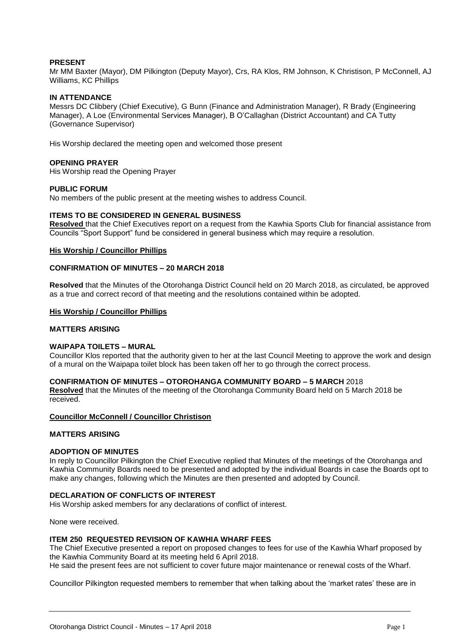#### **PRESENT**

Mr MM Baxter (Mayor), DM Pilkington (Deputy Mayor), Crs, RA Klos, RM Johnson, K Christison, P McConnell, AJ Williams, KC Phillips

#### **IN ATTENDANCE**

Messrs DC Clibbery (Chief Executive), G Bunn (Finance and Administration Manager), R Brady (Engineering Manager), A Loe (Environmental Services Manager), B O'Callaghan (District Accountant) and CA Tutty (Governance Supervisor)

His Worship declared the meeting open and welcomed those present

#### **OPENING PRAYER**

His Worship read the Opening Prayer

#### **PUBLIC FORUM**

No members of the public present at the meeting wishes to address Council.

#### **ITEMS TO BE CONSIDERED IN GENERAL BUSINESS**

**Resolved** that the Chief Executives report on a request from the Kawhia Sports Club for financial assistance from Councils "Sport Support" fund be considered in general business which may require a resolution.

#### **His Worship / Councillor Phillips**

#### **CONFIRMATION OF MINUTES – 20 MARCH 2018**

**Resolved** that the Minutes of the Otorohanga District Council held on 20 March 2018, as circulated, be approved as a true and correct record of that meeting and the resolutions contained within be adopted.

#### **His Worship / Councillor Phillips**

#### **MATTERS ARISING**

#### **WAIPAPA TOILETS – MURAL**

Councillor Klos reported that the authority given to her at the last Council Meeting to approve the work and design of a mural on the Waipapa toilet block has been taken off her to go through the correct process.

#### **CONFIRMATION OF MINUTES – OTOROHANGA COMMUNITY BOARD – 5 MARCH** 2018

**Resolved** that the Minutes of the meeting of the Otorohanga Community Board held on 5 March 2018 be received.

#### **Councillor McConnell / Councillor Christison**

#### **MATTERS ARISING**

#### **ADOPTION OF MINUTES**

In reply to Councillor Pilkington the Chief Executive replied that Minutes of the meetings of the Otorohanga and Kawhia Community Boards need to be presented and adopted by the individual Boards in case the Boards opt to make any changes, following which the Minutes are then presented and adopted by Council.

#### **DECLARATION OF CONFLICTS OF INTEREST**

His Worship asked members for any declarations of conflict of interest.

None were received.

#### **ITEM 250 REQUESTED REVISION OF KAWHIA WHARF FEES**

The Chief Executive presented a report on proposed changes to fees for use of the Kawhia Wharf proposed by the Kawhia Community Board at its meeting held 6 April 2018.

He said the present fees are not sufficient to cover future major maintenance or renewal costs of the Wharf.

Councillor Pilkington requested members to remember that when talking about the 'market rates' these are in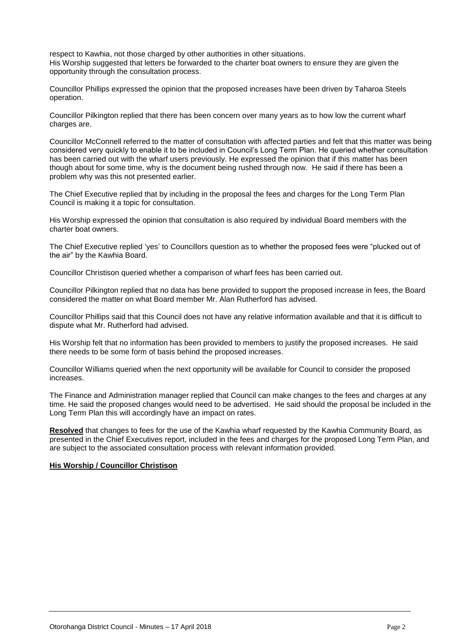respect to Kawhia, not those charged by other authorities in other situations. His Worship suggested that letters be forwarded to the charter boat owners to ensure they are given the opportunity through the consultation process.

Councillor Phillips expressed the opinion that the proposed increases have been driven by Taharoa Steels operation.

Councillor Pilkington replied that there has been concern over many years as to how low the current wharf charges are.

Councillor McConnell referred to the matter of consultation with affected parties and felt that this matter was being considered very quickly to enable it to be included in Council's Long Term Plan. He queried whether consultation has been carried out with the wharf users previously. He expressed the opinion that if this matter has been though about for some time, why is the document being rushed through now. He said if there has been a problem why was this not presented earlier.

The Chief Executive replied that by including in the proposal the fees and charges for the Long Term Plan Council is making it a topic for consultation.

His Worship expressed the opinion that consultation is also required by individual Board members with the charter boat owners.

The Chief Executive replied 'yes' to Councillors question as to whether the proposed fees were "plucked out of the air" by the Kawhia Board.

Councillor Christison queried whether a comparison of wharf fees has been carried out.

Councillor Pilkington replied that no data has bene provided to support the proposed increase in fees, the Board considered the matter on what Board member Mr. Alan Rutherford has advised.

Councillor Phillips said that this Council does not have any relative information available and that it is difficult to dispute what Mr. Rutherford had advised.

His Worship felt that no information has been provided to members to justify the proposed increases. He said there needs to be some form of basis behind the proposed increases.

Councillor Williams queried when the next opportunity will be available for Council to consider the proposed increases.

The Finance and Administration manager replied that Council can make changes to the fees and charges at any time. He said the proposed changes would need to be advertised. He said should the proposal be included in the Long Term Plan this will accordingly have an impact on rates.

**Resolved** that changes to fees for the use of the Kawhia wharf requested by the Kawhia Community Board, as presented in the Chief Executives report, included in the fees and charges for the proposed Long Term Plan, and are subject to the associated consultation process with relevant information provided.

#### **His Worship / Councillor Christison**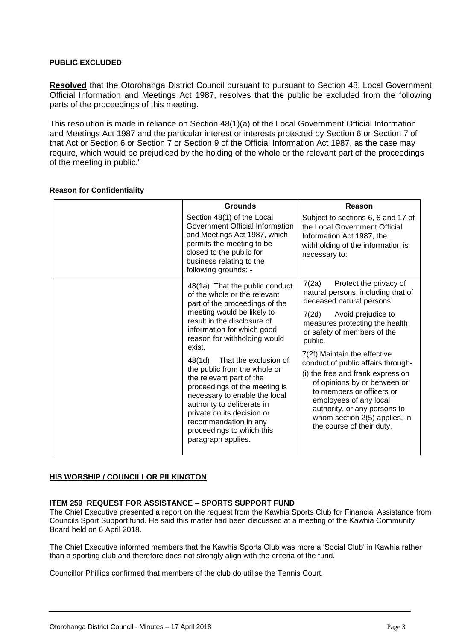#### **PUBLIC EXCLUDED**

**Resolved** that the Otorohanga District Council pursuant to pursuant to Section 48, Local Government Official Information and Meetings Act 1987, resolves that the public be excluded from the following parts of the proceedings of this meeting.

This resolution is made in reliance on Section 48(1)(a) of the Local Government Official Information and Meetings Act 1987 and the particular interest or interests protected by Section 6 or Section 7 of that Act or Section 6 or Section 7 or Section 9 of the Official Information Act 1987, as the case may require, which would be prejudiced by the holding of the whole or the relevant part of the proceedings of the meeting in public."

| <b>Grounds</b>                                                                                                                                                                                                                                                                                                                                                                                                                                                                                                                                 | Reason                                                                                                                                                                                                                                                                                                                                                                                                                                                                                                        |
|------------------------------------------------------------------------------------------------------------------------------------------------------------------------------------------------------------------------------------------------------------------------------------------------------------------------------------------------------------------------------------------------------------------------------------------------------------------------------------------------------------------------------------------------|---------------------------------------------------------------------------------------------------------------------------------------------------------------------------------------------------------------------------------------------------------------------------------------------------------------------------------------------------------------------------------------------------------------------------------------------------------------------------------------------------------------|
| Section 48(1) of the Local<br>Government Official Information<br>and Meetings Act 1987, which<br>permits the meeting to be<br>closed to the public for<br>business relating to the<br>following grounds: -                                                                                                                                                                                                                                                                                                                                     | Subject to sections 6, 8 and 17 of<br>the Local Government Official<br>Information Act 1987, the<br>withholding of the information is<br>necessary to:                                                                                                                                                                                                                                                                                                                                                        |
| 48(1a) That the public conduct<br>of the whole or the relevant<br>part of the proceedings of the<br>meeting would be likely to<br>result in the disclosure of<br>information for which good<br>reason for withholding would<br>exist.<br>48(1d)<br>That the exclusion of<br>the public from the whole or<br>the relevant part of the<br>proceedings of the meeting is<br>necessary to enable the local<br>authority to deliberate in<br>private on its decision or<br>recommendation in any<br>proceedings to which this<br>paragraph applies. | 7(2a)<br>Protect the privacy of<br>natural persons, including that of<br>deceased natural persons.<br>Avoid prejudice to<br>7(2d)<br>measures protecting the health<br>or safety of members of the<br>public.<br>7(2f) Maintain the effective<br>conduct of public affairs through-<br>(i) the free and frank expression<br>of opinions by or between or<br>to members or officers or<br>employees of any local<br>authority, or any persons to<br>whom section 2(5) applies, in<br>the course of their duty. |

#### **Reason for Confidentiality**

#### **HIS WORSHIP / COUNCILLOR PILKINGTON**

#### **ITEM 259 REQUEST FOR ASSISTANCE – SPORTS SUPPORT FUND**

The Chief Executive presented a report on the request from the Kawhia Sports Club for Financial Assistance from Councils Sport Support fund. He said this matter had been discussed at a meeting of the Kawhia Community Board held on 6 April 2018.

The Chief Executive informed members that the Kawhia Sports Club was more a 'Social Club' in Kawhia rather than a sporting club and therefore does not strongly align with the criteria of the fund.

Councillor Phillips confirmed that members of the club do utilise the Tennis Court.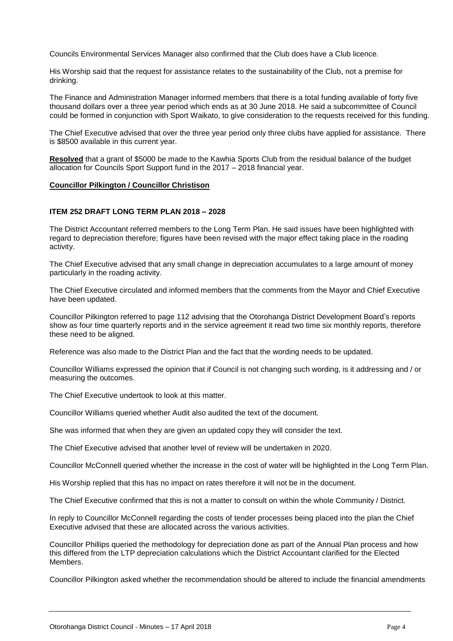Councils Environmental Services Manager also confirmed that the Club does have a Club licence.

His Worship said that the request for assistance relates to the sustainability of the Club, not a premise for drinking.

The Finance and Administration Manager informed members that there is a total funding available of forty five thousand dollars over a three year period which ends as at 30 June 2018. He said a subcommittee of Council could be formed in conjunction with Sport Waikato, to give consideration to the requests received for this funding.

The Chief Executive advised that over the three year period only three clubs have applied for assistance. There is \$8500 available in this current year.

**Resolved** that a grant of \$5000 be made to the Kawhia Sports Club from the residual balance of the budget allocation for Councils Sport Support fund in the 2017 – 2018 financial year.

#### **Councillor Pilkington / Councillor Christison**

#### **ITEM 252 DRAFT LONG TERM PLAN 2018 – 2028**

The District Accountant referred members to the Long Term Plan. He said issues have been highlighted with regard to depreciation therefore; figures have been revised with the major effect taking place in the roading activity.

The Chief Executive advised that any small change in depreciation accumulates to a large amount of money particularly in the roading activity.

The Chief Executive circulated and informed members that the comments from the Mayor and Chief Executive have been updated.

Councillor Pilkington referred to page 112 advising that the Otorohanga District Development Board's reports show as four time quarterly reports and in the service agreement it read two time six monthly reports, therefore these need to be aligned.

Reference was also made to the District Plan and the fact that the wording needs to be updated.

Councillor Williams expressed the opinion that if Council is not changing such wording, is it addressing and / or measuring the outcomes.

The Chief Executive undertook to look at this matter.

Councillor Williams queried whether Audit also audited the text of the document.

She was informed that when they are given an updated copy they will consider the text.

The Chief Executive advised that another level of review will be undertaken in 2020.

Councillor McConnell queried whether the increase in the cost of water will be highlighted in the Long Term Plan.

His Worship replied that this has no impact on rates therefore it will not be in the document.

The Chief Executive confirmed that this is not a matter to consult on within the whole Community / District.

In reply to Councillor McConnell regarding the costs of tender processes being placed into the plan the Chief Executive advised that these are allocated across the various activities.

Councillor Phillips queried the methodology for depreciation done as part of the Annual Plan process and how this differed from the LTP depreciation calculations which the District Accountant clarified for the Elected Members.

Councillor Pilkington asked whether the recommendation should be altered to include the financial amendments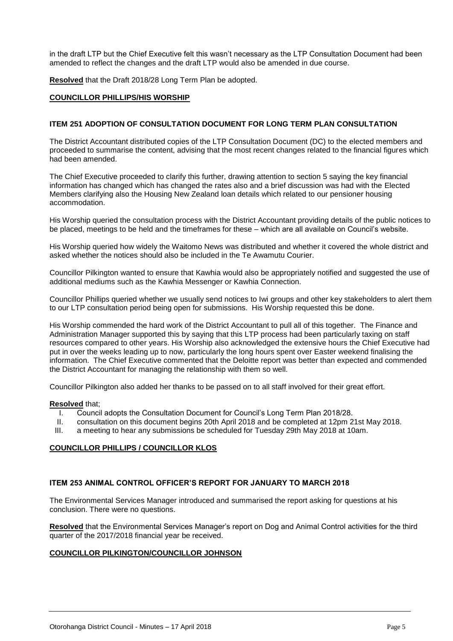in the draft LTP but the Chief Executive felt this wasn't necessary as the LTP Consultation Document had been amended to reflect the changes and the draft LTP would also be amended in due course.

**Resolved** that the Draft 2018/28 Long Term Plan be adopted.

#### **COUNCILLOR PHILLIPS/HIS WORSHIP**

#### **ITEM 251 ADOPTION OF CONSULTATION DOCUMENT FOR LONG TERM PLAN CONSULTATION**

The District Accountant distributed copies of the LTP Consultation Document (DC) to the elected members and proceeded to summarise the content, advising that the most recent changes related to the financial figures which had been amended.

The Chief Executive proceeded to clarify this further, drawing attention to section 5 saying the key financial information has changed which has changed the rates also and a brief discussion was had with the Elected Members clarifying also the Housing New Zealand loan details which related to our pensioner housing accommodation.

His Worship queried the consultation process with the District Accountant providing details of the public notices to be placed, meetings to be held and the timeframes for these – which are all available on Council's website.

His Worship queried how widely the Waitomo News was distributed and whether it covered the whole district and asked whether the notices should also be included in the Te Awamutu Courier.

Councillor Pilkington wanted to ensure that Kawhia would also be appropriately notified and suggested the use of additional mediums such as the Kawhia Messenger or Kawhia Connection.

Councillor Phillips queried whether we usually send notices to Iwi groups and other key stakeholders to alert them to our LTP consultation period being open for submissions. His Worship requested this be done.

His Worship commended the hard work of the District Accountant to pull all of this together. The Finance and Administration Manager supported this by saying that this LTP process had been particularly taxing on staff resources compared to other years. His Worship also acknowledged the extensive hours the Chief Executive had put in over the weeks leading up to now, particularly the long hours spent over Easter weekend finalising the information. The Chief Executive commented that the Deloitte report was better than expected and commended the District Accountant for managing the relationship with them so well.

Councillor Pilkington also added her thanks to be passed on to all staff involved for their great effort.

#### **Resolved** that;

- I. Council adopts the Consultation Document for Council's Long Term Plan 2018/28.
- II. consultation on this document begins 20th April 2018 and be completed at 12pm 21st May 2018.<br>III a meeting to hear any submissions be scheduled for Tuesday 29th May 2018 at 10am
- a meeting to hear any submissions be scheduled for Tuesday 29th May 2018 at 10am.

#### **COUNCILLOR PHILLIPS / COUNCILLOR KLOS**

#### **ITEM 253 ANIMAL CONTROL OFFICER'S REPORT FOR JANUARY TO MARCH 2018**

The Environmental Services Manager introduced and summarised the report asking for questions at his conclusion. There were no questions.

**Resolved** that the Environmental Services Manager's report on Dog and Animal Control activities for the third quarter of the 2017/2018 financial year be received.

#### **COUNCILLOR PILKINGTON/COUNCILLOR JOHNSON**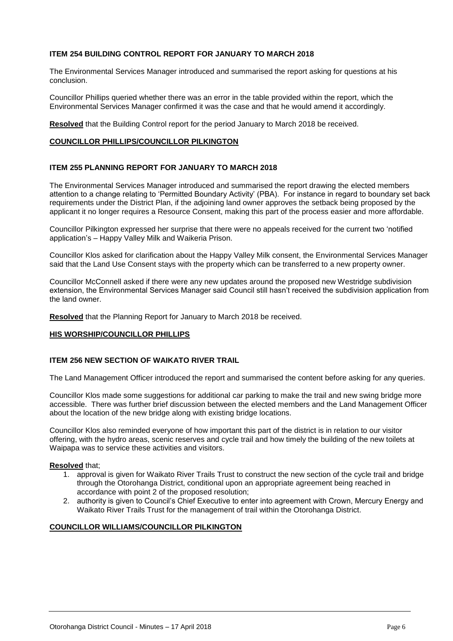#### **ITEM 254 BUILDING CONTROL REPORT FOR JANUARY TO MARCH 2018**

The Environmental Services Manager introduced and summarised the report asking for questions at his conclusion.

Councillor Phillips queried whether there was an error in the table provided within the report, which the Environmental Services Manager confirmed it was the case and that he would amend it accordingly.

**Resolved** that the Building Control report for the period January to March 2018 be received.

#### **COUNCILLOR PHILLIPS/COUNCILLOR PILKINGTON**

#### **ITEM 255 PLANNING REPORT FOR JANUARY TO MARCH 2018**

The Environmental Services Manager introduced and summarised the report drawing the elected members attention to a change relating to 'Permitted Boundary Activity' (PBA). For instance in regard to boundary set back requirements under the District Plan, if the adjoining land owner approves the setback being proposed by the applicant it no longer requires a Resource Consent, making this part of the process easier and more affordable.

Councillor Pilkington expressed her surprise that there were no appeals received for the current two 'notified application's – Happy Valley Milk and Waikeria Prison.

Councillor Klos asked for clarification about the Happy Valley Milk consent, the Environmental Services Manager said that the Land Use Consent stays with the property which can be transferred to a new property owner.

Councillor McConnell asked if there were any new updates around the proposed new Westridge subdivision extension, the Environmental Services Manager said Council still hasn't received the subdivision application from the land owner.

**Resolved** that the Planning Report for January to March 2018 be received.

#### **HIS WORSHIP/COUNCILLOR PHILLIPS**

#### **ITEM 256 NEW SECTION OF WAIKATO RIVER TRAIL**

The Land Management Officer introduced the report and summarised the content before asking for any queries.

Councillor Klos made some suggestions for additional car parking to make the trail and new swing bridge more accessible. There was further brief discussion between the elected members and the Land Management Officer about the location of the new bridge along with existing bridge locations.

Councillor Klos also reminded everyone of how important this part of the district is in relation to our visitor offering, with the hydro areas, scenic reserves and cycle trail and how timely the building of the new toilets at Waipapa was to service these activities and visitors.

#### **Resolved** that;

- 1. approval is given for Waikato River Trails Trust to construct the new section of the cycle trail and bridge through the Otorohanga District, conditional upon an appropriate agreement being reached in accordance with point 2 of the proposed resolution;
- 2. authority is given to Council's Chief Executive to enter into agreement with Crown, Mercury Energy and Waikato River Trails Trust for the management of trail within the Otorohanga District.

#### **COUNCILLOR WILLIAMS/COUNCILLOR PILKINGTON**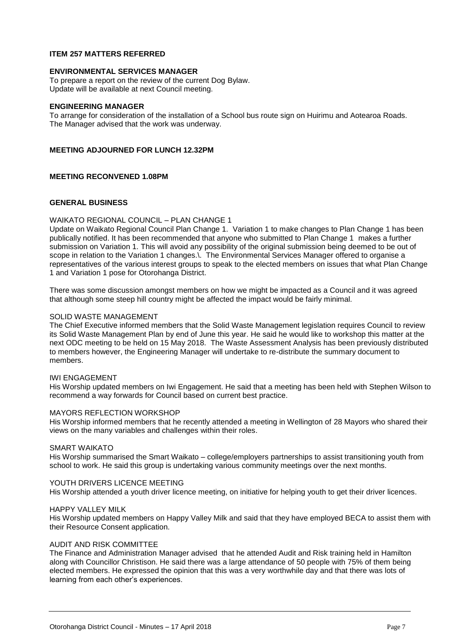#### **ITEM 257 MATTERS REFERRED**

#### **ENVIRONMENTAL SERVICES MANAGER**

To prepare a report on the review of the current Dog Bylaw. Update will be available at next Council meeting.

#### **ENGINEERING MANAGER**

To arrange for consideration of the installation of a School bus route sign on Huirimu and Aotearoa Roads. The Manager advised that the work was underway.

#### **MEETING ADJOURNED FOR LUNCH 12.32PM**

#### **MEETING RECONVENED 1.08PM**

#### **GENERAL BUSINESS**

#### WAIKATO REGIONAL COUNCIL – PLAN CHANGE 1

Update on Waikato Regional Council Plan Change 1. Variation 1 to make changes to Plan Change 1 has been publically notified. It has been recommended that anyone who submitted to Plan Change 1 makes a further submission on Variation 1. This will avoid any possibility of the original submission being deemed to be out of scope in relation to the Variation 1 changes. The Environmental Services Manager offered to organise a representatives of the various interest groups to speak to the elected members on issues that what Plan Change 1 and Variation 1 pose for Otorohanga District.

There was some discussion amongst members on how we might be impacted as a Council and it was agreed that although some steep hill country might be affected the impact would be fairly minimal.

#### SOLID WASTE MANAGEMENT

The Chief Executive informed members that the Solid Waste Management legislation requires Council to review its Solid Waste Management Plan by end of June this year. He said he would like to workshop this matter at the next ODC meeting to be held on 15 May 2018. The Waste Assessment Analysis has been previously distributed to members however, the Engineering Manager will undertake to re-distribute the summary document to members.

#### IWI ENGAGEMENT

His Worship updated members on Iwi Engagement. He said that a meeting has been held with Stephen Wilson to recommend a way forwards for Council based on current best practice.

#### MAYORS REFLECTION WORKSHOP

His Worship informed members that he recently attended a meeting in Wellington of 28 Mayors who shared their views on the many variables and challenges within their roles.

#### SMART WAIKATO

His Worship summarised the Smart Waikato – college/employers partnerships to assist transitioning youth from school to work. He said this group is undertaking various community meetings over the next months.

#### YOUTH DRIVERS LICENCE MEETING

His Worship attended a youth driver licence meeting, on initiative for helping youth to get their driver licences.

#### HAPPY VALLEY MILK

His Worship updated members on Happy Valley Milk and said that they have employed BECA to assist them with their Resource Consent application.

#### AUDIT AND RISK COMMITTEE

The Finance and Administration Manager advised that he attended Audit and Risk training held in Hamilton along with Councillor Christison. He said there was a large attendance of 50 people with 75% of them being elected members. He expressed the opinion that this was a very worthwhile day and that there was lots of learning from each other's experiences.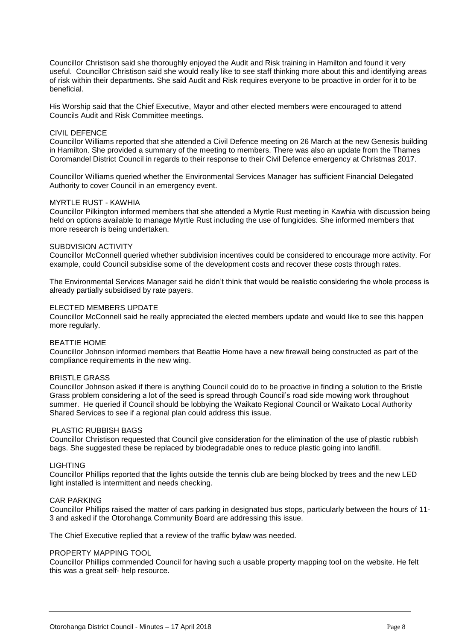Councillor Christison said she thoroughly enjoyed the Audit and Risk training in Hamilton and found it very useful. Councillor Christison said she would really like to see staff thinking more about this and identifying areas of risk within their departments. She said Audit and Risk requires everyone to be proactive in order for it to be beneficial.

His Worship said that the Chief Executive, Mayor and other elected members were encouraged to attend Councils Audit and Risk Committee meetings.

#### CIVIL DEFENCE

Councillor Williams reported that she attended a Civil Defence meeting on 26 March at the new Genesis building in Hamilton. She provided a summary of the meeting to members. There was also an update from the Thames Coromandel District Council in regards to their response to their Civil Defence emergency at Christmas 2017.

Councillor Williams queried whether the Environmental Services Manager has sufficient Financial Delegated Authority to cover Council in an emergency event.

#### MYRTLE RUST - KAWHIA

Councillor Pilkington informed members that she attended a Myrtle Rust meeting in Kawhia with discussion being held on options available to manage Myrtle Rust including the use of fungicides. She informed members that more research is being undertaken.

#### SUBDVISION ACTIVITY

Councillor McConnell queried whether subdivision incentives could be considered to encourage more activity. For example, could Council subsidise some of the development costs and recover these costs through rates.

The Environmental Services Manager said he didn't think that would be realistic considering the whole process is already partially subsidised by rate payers.

#### ELECTED MEMBERS UPDATE

Councillor McConnell said he really appreciated the elected members update and would like to see this happen more regularly.

#### BEATTIE HOME

Councillor Johnson informed members that Beattie Home have a new firewall being constructed as part of the compliance requirements in the new wing.

#### BRISTLE GRASS

Councillor Johnson asked if there is anything Council could do to be proactive in finding a solution to the Bristle Grass problem considering a lot of the seed is spread through Council's road side mowing work throughout summer. He queried if Council should be lobbying the Waikato Regional Council or Waikato Local Authority Shared Services to see if a regional plan could address this issue.

#### PLASTIC RUBBISH BAGS

Councillor Christison requested that Council give consideration for the elimination of the use of plastic rubbish bags. She suggested these be replaced by biodegradable ones to reduce plastic going into landfill.

#### LIGHTING

Councillor Phillips reported that the lights outside the tennis club are being blocked by trees and the new LED light installed is intermittent and needs checking.

#### CAR PARKING

Councillor Phillips raised the matter of cars parking in designated bus stops, particularly between the hours of 11- 3 and asked if the Otorohanga Community Board are addressing this issue.

The Chief Executive replied that a review of the traffic bylaw was needed.

#### PROPERTY MAPPING TOOL

Councillor Phillips commended Council for having such a usable property mapping tool on the website. He felt this was a great self- help resource.